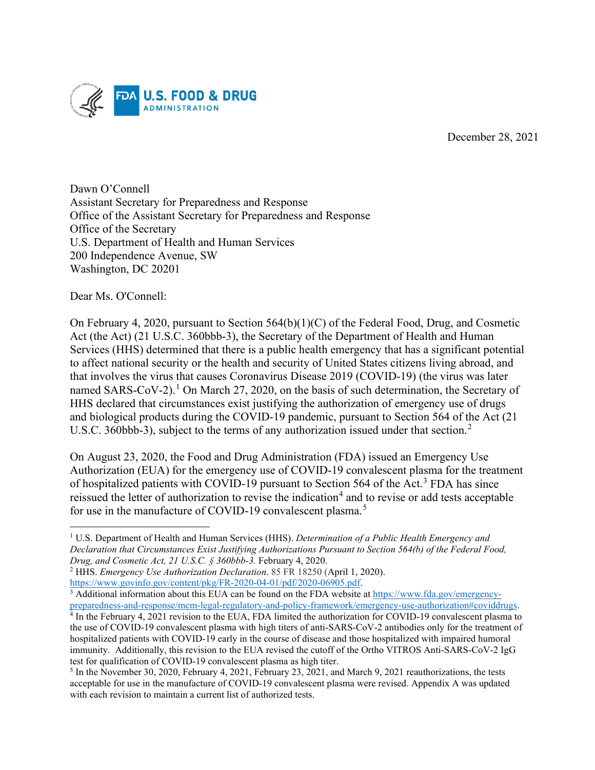

December 28, 2021

Dawn O'Connell Assistant Secretary for Preparedness and Response Office of the Assistant Secretary for Preparedness and Response Office of the Secretary U.S. Department of Health and Human Services 200 Independence Avenue, SW Washington, DC 20201

Dear Ms. O'Connell:

On February 4, 2020, pursuant to Section 564(b)(1)(C) of the Federal Food, Drug, and Cosmetic Act (the Act) (21 U.S.C. 360bbb-3), the Secretary of the Department of Health and Human Services (HHS) determined that there is a public health emergency that has a significant potential to affect national security or the health and security of United States citizens living abroad, and that involves the virus that causes Coronavirus Disease 2019 (COVID-19) (the virus was later named SARS-CoV-2).<sup>1</sup> On March 27, 2020, on the basis of such determination, the Secretary of HHS declared that circumstances exist justifying the authorization of emergency use of drugs and biological products during the COVID-19 pandemic, pursuant to Section 564 of the Act (21 U.S.C. 360bbb-3), subject to the terms of any authorization issued under that section.<sup>2</sup>

On August 23, 2020, the Food and Drug Administration (FDA) issued an Emergency Use Authorization (EUA) for the emergency use of COVID-19 convalescent plasma for the treatment of hospitalized patients with COVID-19 pursuant to Section 564 of the Act.<sup>3</sup> FDA has since reissued the letter of authorization to revise the indication<sup>4</sup> and to revise or add tests acceptable for use in the manufacture of COVID-19 convalescent plasma.<sup>5</sup>

<sup>1</sup> U.S. Department of Health and Human Services (HHS). *Determination of a Public Health Emergency and Declaration that Circumstances Exist Justifying Authorizations Pursuant to Section 564(b) of the Federal Food, Drug, and Cosmetic Act, 21 U.S.C. § 360bbb-3.* February 4, 2020.

<sup>&</sup>lt;sup>2</sup> HHS. *Emergency Use Authorization Declaration*. 85 FR 18250 (April 1, 2020).<br>https://www.govinfo.gov/content/pkg/FR-2020-04-01/pdf/2020-06905.pdf.

 $\frac{3}{4}$  Additional information about this EUA can be found on the FDA website at https://www.fda.gov/emergency-<br>preparedness-and-response/mcm-legal-regulatory-and-policy-framework/emergency-use-authorization#coviddrugs.

 $\frac{4}{1}$  In the February 4, 2021 revision to the EUA, FDA limited the authorization for COVID-19 convalescent plasma to the use of COVID-19 convalescent plasma with high titers of anti-SARS-CoV-2 antibodies only for the treatment of hospitalized patients with COVID-19 early in the course of disease and those hospitalized with impaired humoral immunity. Additionally, this revision to the EUA revised the cutoff of the Ortho VITROS Anti-SARS-CoV-2 IgG test for qualification of COVID-19 convalescent plasma as high titer.<br><sup>5</sup> In the November 30, 2020, February 4, 2021, February 23, 2021, and March 9, 2021 reauthorizations, the tests

acceptable for use in the manufacture of COVID-19 convalescent plasma were revised. Appendix A was updated with each revision to maintain a current list of authorized tests.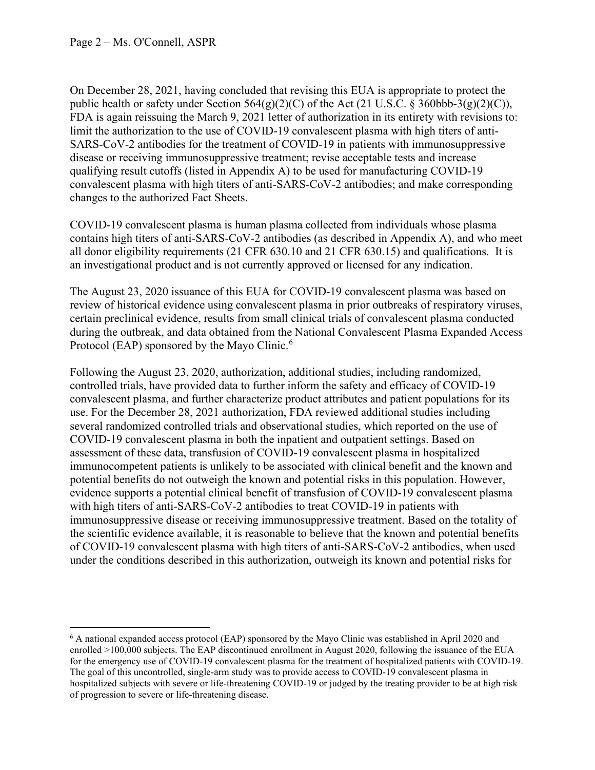On December 28, 2021, having concluded that revising this EUA is appropriate to protect the public health or safety under Section  $564(g)(2)(C)$  of the Act (21 U.S.C. § 360bbb-3(g)(2)(C)), FDA is again reissuing the March 9, 2021 letter of authorization in its entirety with revisions to: limit the authorization to the use of COVID-19 convalescent plasma with high titers of anti-SARS-CoV-2 antibodies for the treatment of COVID-19 in patients with immunosuppressive disease or receiving immunosuppressive treatment; revise acceptable tests and increase qualifying result cutoffs (listed in Appendix A) to be used for manufacturing COVID-19 convalescent plasma with high titers of anti-SARS-CoV-2 antibodies; and make corresponding changes to the authorized Fact Sheets.

COVID-19 convalescent plasma is human plasma collected from individuals whose plasma contains high titers of anti-SARS-CoV-2 antibodies (as described in Appendix A), and who meet all donor eligibility requirements (21 CFR 630.10 and 21 CFR 630.15) and qualifications. It is an investigational product and is not currently approved or licensed for any indication.

The August 23, 2020 issuance of this EUA for COVID-19 convalescent plasma was based on review of historical evidence using convalescent plasma in prior outbreaks of respiratory viruses, certain preclinical evidence, results from small clinical trials of convalescent plasma conducted during the outbreak, and data obtained from the National Convalescent Plasma Expanded Access Protocol (EAP) sponsored by the Mayo Clinic.<sup>6</sup>

Following the August 23, 2020, authorization, additional studies, including randomized, controlled trials, have provided data to further inform the safety and efficacy of COVID-19 convalescent plasma, and further characterize product attributes and patient populations for its use. For the December 28, 2021 authorization, FDA reviewed additional studies including several randomized controlled trials and observational studies, which reported on the use of COVID-19 convalescent plasma in both the inpatient and outpatient settings. Based on assessment of these data, transfusion of COVID-19 convalescent plasma in hospitalized immunocompetent patients is unlikely to be associated with clinical benefit and the known and potential benefits do not outweigh the known and potential risks in this population. However, evidence supports a potential clinical benefit of transfusion of COVID-19 convalescent plasma with high titers of anti-SARS-CoV-2 antibodies to treat COVID-19 in patients with immunosuppressive disease or receiving immunosuppressive treatment. Based on the totality of the scientific evidence available, it is reasonable to believe that the known and potential benefits of COVID-19 convalescent plasma with high titers of anti-SARS-CoV-2 antibodies, when used under the conditions described in this authorization, outweigh its known and potential risks for

<sup>6</sup> A national expanded access protocol (EAP) sponsored by the Mayo Clinic was established in April 2020 and enrolled >100,000 subjects. The EAP discontinued enrollment in August 2020, following the issuance of the EUA for the emergency use of COVID-19 convalescent plasma for the treatment of hospitalized patients with COVID-19. The goal of this uncontrolled, single-arm study was to provide access to COVID-19 convalescent plasma in hospitalized subjects with severe or life-threatening COVID-19 or judged by the treating provider to be at high risk of progression to severe or life-threatening disease.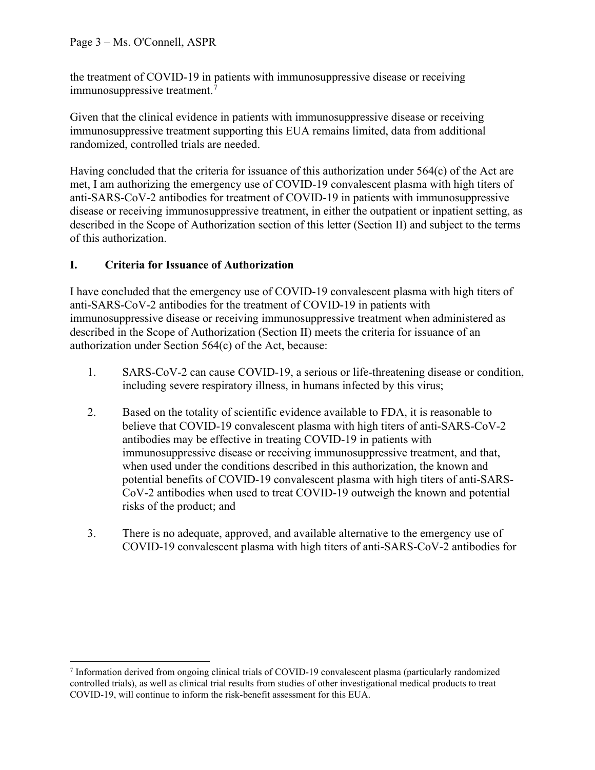the treatment of COVID-19 in patients with immunosuppressive disease or receiving immunosuppressive treatment.<sup>7</sup>

Given that the clinical evidence in patients with immunosuppressive disease or receiving immunosuppressive treatment supporting this EUA remains limited, data from additional randomized, controlled trials are needed.

Having concluded that the criteria for issuance of this authorization under 564(c) of the Act are met, I am authorizing the emergency use of COVID-19 convalescent plasma with high titers of anti-SARS-CoV-2 antibodies for treatment of COVID-19 in patients with immunosuppressive disease or receiving immunosuppressive treatment, in either the outpatient or inpatient setting, as described in the Scope of Authorization section of this letter (Section II) and subject to the terms of this authorization.

# **I. Criteria for Issuance of Authorization**

I have concluded that the emergency use of COVID-19 convalescent plasma with high titers of anti-SARS-CoV-2 antibodies for the treatment of COVID-19 in patients with immunosuppressive disease or receiving immunosuppressive treatment when administered as described in the Scope of Authorization (Section II) meets the criteria for issuance of an authorization under Section 564(c) of the Act, because:

- 1. SARS-CoV-2 can cause COVID-19, a serious or life-threatening disease or condition, including severe respiratory illness, in humans infected by this virus;
- 2. Based on the totality of scientific evidence available to FDA, it is reasonable to believe that COVID-19 convalescent plasma with high titers of anti-SARS-CoV-2 antibodies may be effective in treating COVID-19 in patients with immunosuppressive disease or receiving immunosuppressive treatment, and that, when used under the conditions described in this authorization, the known and potential benefits of COVID-19 convalescent plasma with high titers of anti-SARS-CoV-2 antibodies when used to treat COVID-19 outweigh the known and potential risks of the product; and
- 3. There is no adequate, approved, and available alternative to the emergency use of COVID-19 convalescent plasma with high titers of anti-SARS-CoV-2 antibodies for

<sup>7</sup> Information derived from ongoing clinical trials of COVID-19 convalescent plasma (particularly randomized controlled trials), as well as clinical trial results from studies of other investigational medical products to treat COVID-19, will continue to inform the risk-benefit assessment for this EUA.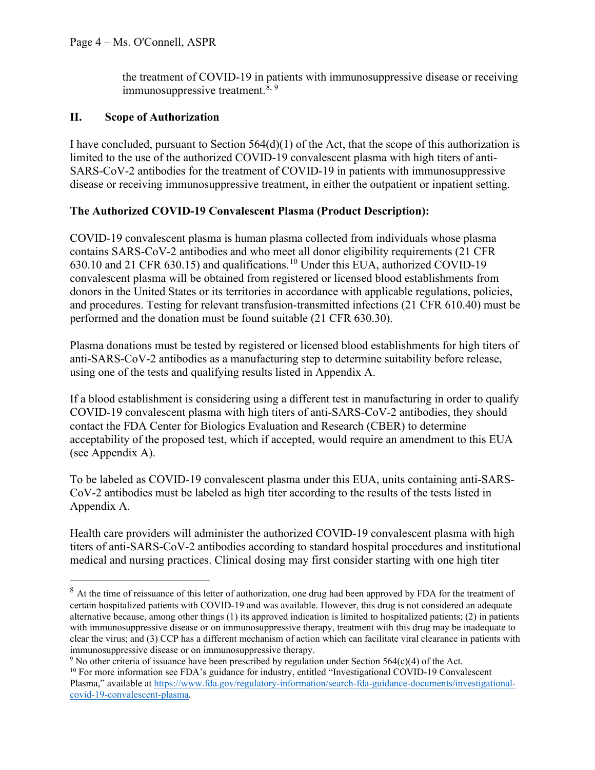the treatment of COVID-19 in patients with immunosuppressive disease or receiving immunosuppressive treatment.<sup>8, 9</sup>

## **II. Scope of Authorization**

I have concluded, pursuant to Section 564(d)(1) of the Act, that the scope of this authorization is limited to the use of the authorized COVID-19 convalescent plasma with high titers of anti-SARS-CoV-2 antibodies for the treatment of COVID-19 in patients with immunosuppressive disease or receiving immunosuppressive treatment, in either the outpatient or inpatient setting.

# **The Authorized COVID-19 Convalescent Plasma (Product Description):**

COVID-19 convalescent plasma is human plasma collected from individuals whose plasma contains SARS-CoV-2 antibodies and who meet all donor eligibility requirements (21 CFR 630.10 and 21 CFR 630.15) and qualifications.<sup>10</sup> Under this EUA, authorized COVID-19 convalescent plasma will be obtained from registered or licensed blood establishments from donors in the United States or its territories in accordance with applicable regulations, policies, and procedures. Testing for relevant transfusion-transmitted infections (21 CFR 610.40) must be performed and the donation must be found suitable (21 CFR 630.30).

Plasma donations must be tested by registered or licensed blood establishments for high titers of anti-SARS-CoV-2 antibodies as a manufacturing step to determine suitability before release, using one of the tests and qualifying results listed in Appendix A.

If a blood establishment is considering using a different test in manufacturing in order to qualify COVID-19 convalescent plasma with high titers of anti-SARS-CoV-2 antibodies, they should contact the FDA Center for Biologics Evaluation and Research (CBER) to determine acceptability of the proposed test, which if accepted, would require an amendment to this EUA (see Appendix A).

To be labeled as COVID-19 convalescent plasma under this EUA, units containing anti-SARS-CoV-2 antibodies must be labeled as high titer according to the results of the tests listed in Appendix A.

Health care providers will administer the authorized COVID-19 convalescent plasma with high titers of anti-SARS-CoV-2 antibodies according to standard hospital procedures and institutional medical and nursing practices. Clinical dosing may first consider starting with one high titer

<sup>&</sup>lt;sup>8</sup> At the time of reissuance of this letter of authorization, one drug had been approved by FDA for the treatment of certain hospitalized patients with COVID-19 and was available. However, this drug is not considered an adequate alternative because, among other things (1) its approved indication is limited to hospitalized patients; (2) in patients with immunosuppressive disease or on immunosuppressive therapy, treatment with this drug may be inadequate to clear the virus; and (3) CCP has a different mechanism of action which can facilitate viral clearance in patients with immunosuppressive disease or on immunosuppressive therapy.

<sup>&</sup>lt;sup>9</sup> No other criteria of issuance have been prescribed by regulation under Section 564(c)(4) of the Act. <sup>10</sup> For more information see FDA's guidance for industry, entitled "Investigational COVID-19 Convalescent" Plasma," available at https://www.fda.gov/regulatory-information/search-fda-guidance-documents/investigationalcovid-19-convalescent-plasma.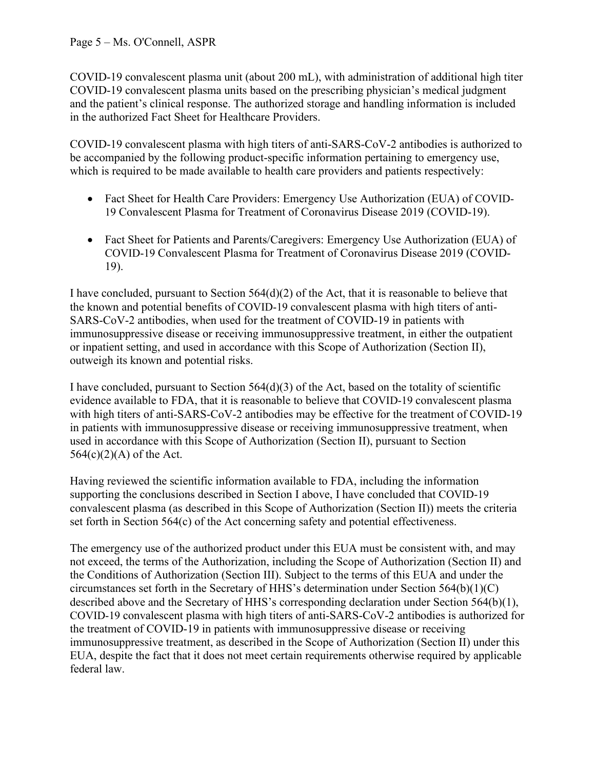## Page 5 – Ms. O'Connell, ASPR

COVID-19 convalescent plasma unit (about 200 mL), with administration of additional high titer COVID-19 convalescent plasma units based on the prescribing physician's medical judgment and the patient's clinical response. The authorized storage and handling information is included in the authorized Fact Sheet for Healthcare Providers.

COVID-19 convalescent plasma with high titers of anti-SARS-CoV-2 antibodies is authorized to be accompanied by the following product-specific information pertaining to emergency use, which is required to be made available to health care providers and patients respectively:

- Fact Sheet for Health Care Providers: Emergency Use Authorization (EUA) of COVID-19 Convalescent Plasma for Treatment of Coronavirus Disease 2019 (COVID-19).
- Fact Sheet for Patients and Parents/Caregivers: Emergency Use Authorization (EUA) of COVID-19 Convalescent Plasma for Treatment of Coronavirus Disease 2019 (COVID-19).

I have concluded, pursuant to Section 564(d)(2) of the Act, that it is reasonable to believe that the known and potential benefits of COVID-19 convalescent plasma with high titers of anti-SARS-CoV-2 antibodies, when used for the treatment of COVID-19 in patients with immunosuppressive disease or receiving immunosuppressive treatment, in either the outpatient or inpatient setting, and used in accordance with this Scope of Authorization (Section II), outweigh its known and potential risks.

I have concluded, pursuant to Section 564(d)(3) of the Act, based on the totality of scientific evidence available to FDA, that it is reasonable to believe that COVID-19 convalescent plasma with high titers of anti-SARS-CoV-2 antibodies may be effective for the treatment of COVID-19 in patients with immunosuppressive disease or receiving immunosuppressive treatment, when used in accordance with this Scope of Authorization (Section II), pursuant to Section  $564(c)(2)(A)$  of the Act.

Having reviewed the scientific information available to FDA, including the information supporting the conclusions described in Section I above, I have concluded that COVID-19 convalescent plasma (as described in this Scope of Authorization (Section II)) meets the criteria set forth in Section 564(c) of the Act concerning safety and potential effectiveness.

The emergency use of the authorized product under this EUA must be consistent with, and may not exceed, the terms of the Authorization, including the Scope of Authorization (Section II) and the Conditions of Authorization (Section III). Subject to the terms of this EUA and under the circumstances set forth in the Secretary of HHS's determination under Section 564(b)(1)(C) described above and the Secretary of HHS's corresponding declaration under Section 564(b)(1), COVID-19 convalescent plasma with high titers of anti-SARS-CoV-2 antibodies is authorized for the treatment of COVID-19 in patients with immunosuppressive disease or receiving immunosuppressive treatment, as described in the Scope of Authorization (Section II) under this EUA, despite the fact that it does not meet certain requirements otherwise required by applicable federal law.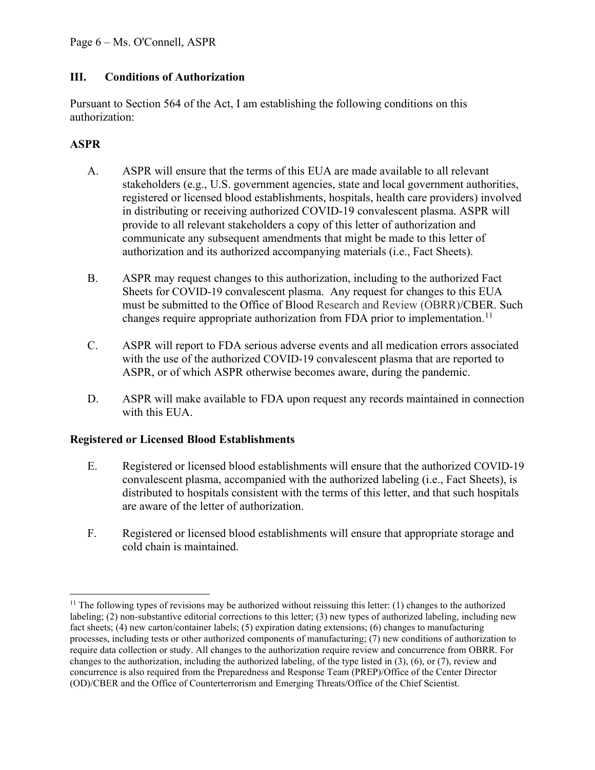# **III. Conditions of Authorization**

Pursuant to Section 564 of the Act, I am establishing the following conditions on this authorization:

## **ASPR**

- A. ASPR will ensure that the terms of this EUA are made available to all relevant stakeholders (e.g., U.S. government agencies, state and local government authorities, registered or licensed blood establishments, hospitals, health care providers) involved in distributing or receiving authorized COVID-19 convalescent plasma. ASPR will provide to all relevant stakeholders a copy of this letter of authorization and communicate any subsequent amendments that might be made to this letter of authorization and its authorized accompanying materials (i.e., Fact Sheets).
- B. ASPR may request changes to this authorization, including to the authorized Fact Sheets for COVID-19 convalescent plasma. Any request for changes to this EUA must be submitted to the Office of Blood Research and Review (OBRR)/CBER. Such changes require appropriate authorization from FDA prior to implementation.<sup>11</sup>
- C. ASPR will report to FDA serious adverse events and all medication errors associated with the use of the authorized COVID-19 convalescent plasma that are reported to ASPR, or of which ASPR otherwise becomes aware, during the pandemic.
- D. ASPR will make available to FDA upon request any records maintained in connection with this EUA.

## **Registered or Licensed Blood Establishments**

- E. Registered or licensed blood establishments will ensure that the authorized COVID-19 convalescent plasma, accompanied with the authorized labeling (i.e., Fact Sheets), is distributed to hospitals consistent with the terms of this letter, and that such hospitals are aware of the letter of authorization.
- F. Registered or licensed blood establishments will ensure that appropriate storage and cold chain is maintained.

 $11$  The following types of revisions may be authorized without reissuing this letter: (1) changes to the authorized labeling; (2) non-substantive editorial corrections to this letter; (3) new types of authorized labeling, including new fact sheets; (4) new carton/container labels; (5) expiration dating extensions; (6) changes to manufacturing processes, including tests or other authorized components of manufacturing; (7) new conditions of authorization to require data collection or study. All changes to the authorization require review and concurrence from OBRR. For changes to the authorization, including the authorized labeling, of the type listed in (3), (6), or (7), review and concurrence is also required from the Preparedness and Response Team (PREP)/Office of the Center Director (OD)/CBER and the Office of Counterterrorism and Emerging Threats/Office of the Chief Scientist.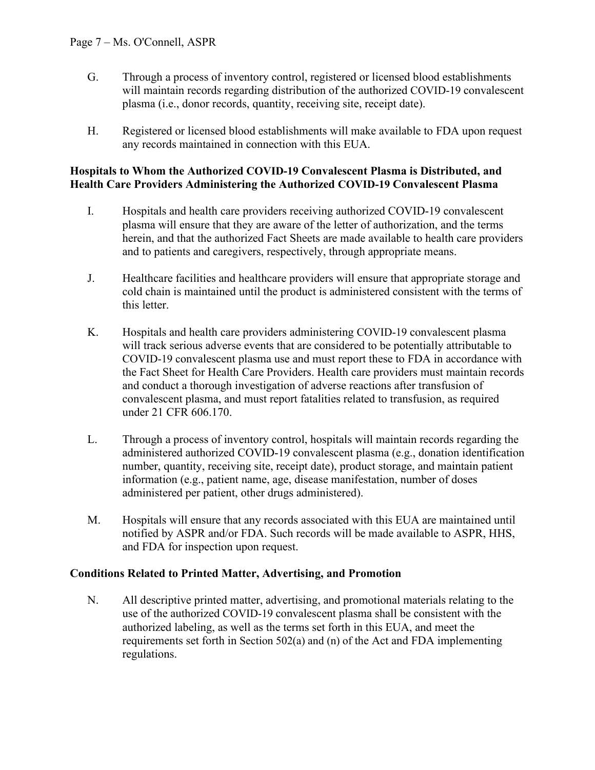- G. Through a process of inventory control, registered or licensed blood establishments will maintain records regarding distribution of the authorized COVID-19 convalescent plasma (i.e., donor records, quantity, receiving site, receipt date).
- H. Registered or licensed blood establishments will make available to FDA upon request any records maintained in connection with this EUA.

#### **Hospitals to Whom the Authorized COVID-19 Convalescent Plasma is Distributed, and Health Care Providers Administering the Authorized COVID-19 Convalescent Plasma**

- I. Hospitals and health care providers receiving authorized COVID-19 convalescent plasma will ensure that they are aware of the letter of authorization, and the terms herein, and that the authorized Fact Sheets are made available to health care providers and to patients and caregivers, respectively, through appropriate means.
- J. Healthcare facilities and healthcare providers will ensure that appropriate storage and cold chain is maintained until the product is administered consistent with the terms of this letter.
- K. Hospitals and health care providers administering COVID-19 convalescent plasma will track serious adverse events that are considered to be potentially attributable to COVID-19 convalescent plasma use and must report these to FDA in accordance with the Fact Sheet for Health Care Providers. Health care providers must maintain records and conduct a thorough investigation of adverse reactions after transfusion of convalescent plasma, and must report fatalities related to transfusion, as required under 21 CFR 606.170.
- L. Through a process of inventory control, hospitals will maintain records regarding the administered authorized COVID-19 convalescent plasma (e.g., donation identification number, quantity, receiving site, receipt date), product storage, and maintain patient information (e.g., patient name, age, disease manifestation, number of doses administered per patient, other drugs administered).
- M. Hospitals will ensure that any records associated with this EUA are maintained until notified by ASPR and/or FDA. Such records will be made available to ASPR, HHS, and FDA for inspection upon request.

## **Conditions Related to Printed Matter, Advertising, and Promotion**

N. All descriptive printed matter, advertising, and promotional materials relating to the use of the authorized COVID-19 convalescent plasma shall be consistent with the authorized labeling, as well as the terms set forth in this EUA, and meet the requirements set forth in Section 502(a) and (n) of the Act and FDA implementing regulations.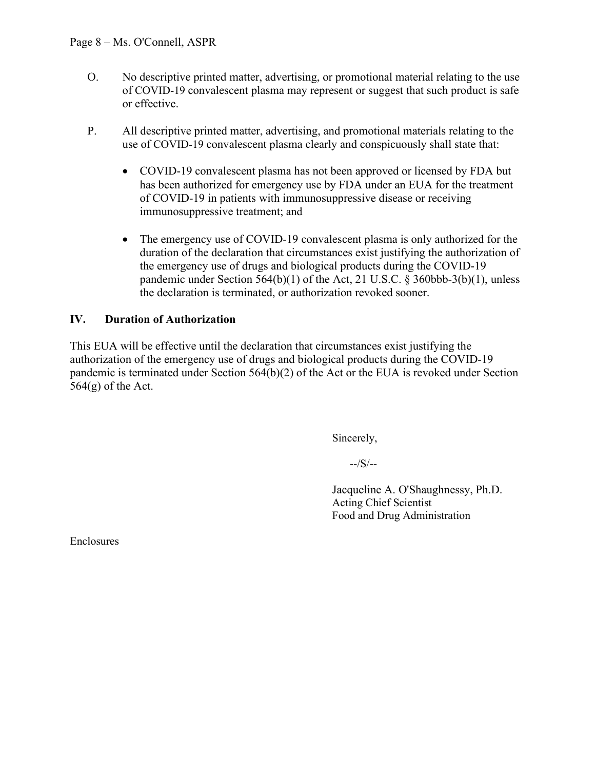- O. No descriptive printed matter, advertising, or promotional material relating to the use of COVID-19 convalescent plasma may represent or suggest that such product is safe or effective.
- P. All descriptive printed matter, advertising, and promotional materials relating to the use of COVID-19 convalescent plasma clearly and conspicuously shall state that:
	- COVID-19 convalescent plasma has not been approved or licensed by FDA but has been authorized for emergency use by FDA under an EUA for the treatment of COVID-19 in patients with immunosuppressive disease or receiving immunosuppressive treatment; and
	- The emergency use of COVID-19 convalescent plasma is only authorized for the duration of the declaration that circumstances exist justifying the authorization of the emergency use of drugs and biological products during the COVID-19 pandemic under Section  $564(b)(1)$  of the Act, 21 U.S.C. § 360bbb-3(b)(1), unless the declaration is terminated, or authorization revoked sooner.

# **IV. Duration of Authorization**

This EUA will be effective until the declaration that circumstances exist justifying the authorization of the emergency use of drugs and biological products during the COVID-19 pandemic is terminated under Section 564(b)(2) of the Act or the EUA is revoked under Section  $564(g)$  of the Act.

Sincerely,

--/S/--

Jacqueline A. O'Shaughnessy, Ph.D. Acting Chief Scientist Food and Drug Administration

Enclosures